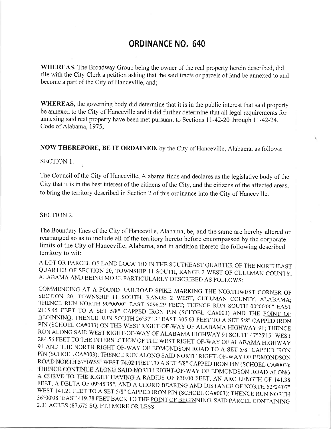## ORDINANCE NO. 640

WHEREAS, The Broadway Group being the owner of the real property herein described, did file with the City Clerk a petition asking that the said tracts or parcels of land be annexed to and become apart of the City of Hanceville, and;

WHEREAS, the governing body did determine that it is in the public interest that said property be annexed to the City of Hanceville and it did further determine that all legal requirements for annexing said real property have been met pursuant to Sections 11-42-20 through 11-42-24, Code of Alabama, 1975;

NOW THEREFORE, BE IT ORDAINED, by the City of Hanceville, Alabama, as follows:

## SECTION 1.

The Council of the City of Hanceville, Alabama finds and declares as the legislative body of the City that it is in the best interest of the citizens of the City, and the citizens of the affected areas. to bring the territory described in Section 2 of this ordinance into the City of Hanceville.

## SECTION 2.

The Boundary lines of the City of Hanceville, Alabama, be, and the same are hereby altered or rearranged so as to include all of the territory hereto before encompassed by the corporate limits of the City of Hanceville, Alabama, and in addition thereto the following described territory to wit:

A LOT OR PARCEL OF LAND LOCATED IN THE SOUTHEAST QUARTER OF THE NORTHEAST QUARTER OF SECTION 20, TOWNSHIP 11 SOUTH, RANGE 2 WEST OF CULLMAN COUNTY, ALABAMA AND BEING MORE PARTICULARLY DESCRIBED AS FOLLOWS:

COMMENCING AT A FOUND RAILROAD SPIKE MARKING THE NORTHWEST CORNER OF SECTION 20, TOWNSHIP 11 SOUTH, RANGE 2 WEST, CULLMAN COUNTY, ALABAMA; THENCE RUN NORTH 90°00'00" EAST 5096.29 FEET; THENCE RUN SOUTH 00°00'00" EAST 2115 ROAD NORTH 57°16'55" WEST 74.02 FEET TO A SET 5/8" CAPPED IRON PIN (SCHOEL CA#003); THENCE CONTINUE ALONG SAID NORTH RIGHT-OF-WAY OF EDMONDSON ROAD ALONG A CURVE TO THE RIGHT HAVING A RADIUS OF 830.00 FEET, AN ARC LENGTH OF 141.38 FEET, A DELTA OF 09°45'35", AND A CHORD BEARING AND DISTANCE OF NORTH 52°24'07"<br>WEST 141.21 FEET TO A SET 5/8" CAPPED IRON PIN (SCHOEL CA#003); THENCE RUN NORTH<br>36°00'08" EAST 419.78 FEET BACK TO THE <u>POINT OF BEGINNING</u>. 2.01 ACRES (87,67s SQ. FT,) MORE OR LESS.